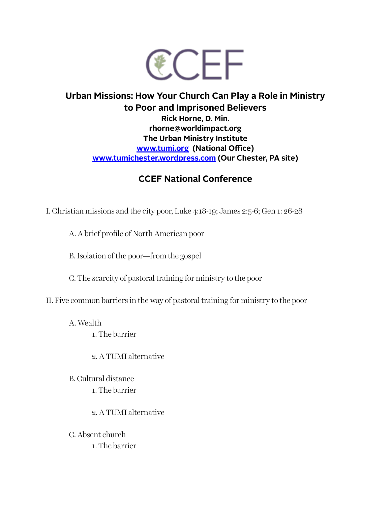

## **Urban Missions: How Your Church Can Play a Role in Ministry to Poor and Imprisoned Believers Rick Horne, D. Min. rhorne@worldimpact.org The Urban Ministry Institute [www.tumi.org](http://www.tumi.org) (National Office) [www.tumichester.wordpress.com](http://Www.tumichester.wordpress.com) (Our Chester, PA site)**

## **CCEF National Conference**

I. Christian missions and the city poor, Luke 4:18-19; James 2:5-6; Gen 1: 26-28

A. A brief profile of North American poor

B. Isolation of the poor—from the gospel

C. The scarcity of pastoral training for ministry to the poor

II. Five common barriers in the way of pastoral training for ministry to the poor

A. Wealth

1. The barrier

2. A TUMI alternative

B. Cultural distance 1. The barrier

2. A TUMI alternative

C. Absent church 1. The barrier